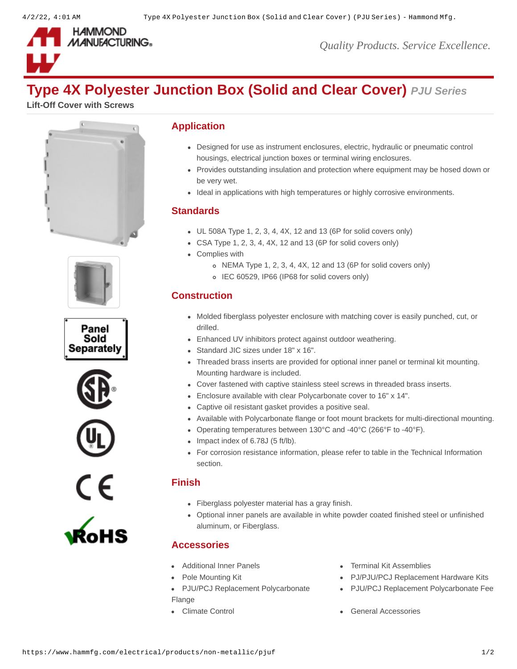

*Quality Products. Service Excellence.*

# **Type 4X Polyester Junction Box (Solid and Clear Cover)** *PJU Series*

**Lift-Off Cover with Screws**











## **Application**

- Designed for use as instrument enclosures, electric, hydraulic or pneumatic control housings, electrical junction boxes or terminal wiring enclosures.
- Provides outstanding insulation and protection where equipment may be hosed down or be very wet.
- Ideal in applications with high temperatures or highly corrosive environments.

#### **Standards**

- $\bullet$  UL 508A Type 1, 2, 3, 4, 4X, 12 and 13 (6P for solid covers only)
- CSA Type 1, 2, 3, 4, 4X, 12 and 13 (6P for solid covers only)
- Complies with
	- o NEMA Type 1, 2, 3, 4, 4X, 12 and 13 (6P for solid covers only)
	- IEC 60529, IP66 (IP68 for solid covers only)

# **Construction**

- Molded fiberglass polyester enclosure with matching cover is easily punched, cut, or drilled.
- Enhanced UV inhibitors protect against outdoor weathering.
- Standard JIC sizes under 18" x 16".
- Threaded brass inserts are provided for optional inner panel or terminal kit mounting. Mounting hardware is included.
- Cover fastened with captive stainless steel screws in threaded brass inserts.
- Enclosure available with clear Polycarbonate cover to 16" x 14".
- Captive oil resistant gasket provides a positive seal.
- Available with Polycarbonate flange or foot mount brackets for multi-directional mounting.
- Operating temperatures between 130°C and -40°C (266°F to -40°F).
- $\bullet$  Impact index of 6.78J (5 ft/lb).
- For corrosion resistance information, please refer to table in the Technical Information section.

### **Finish**

- Fiberglass polyester material has a gray finish.
- Optional inner panels are available in white powder coated finished steel or unfinished aluminum, or Fiberglass.

### **Accessories**

- 
- 
- [PJU/PCJ Replacement Polycarbonate](https://www.hammfg.com/electrical/products/accessories/pjf?referer=130&itm_type=accessory) Flange
- 
- [Additional Inner Panels](https://www.hammfg.com/electrical/products/accessories/14p?referer=130&itm_type=accessory) **[Terminal Kit Assemblies](https://www.hammfg.com/electrical/products/accessories/14tk?referer=130&itm_type=accessory)**
- [Pole Mounting Kit](https://www.hammfg.com/electrical/products/accessories/pjpmk?referer=130&itm_type=accessory) **PU/PJU/PCJ Replacement Hardware Kits** 
	- PJU/PCJ Replacement Polycarbonate Fee
- [Climate Control](https://www.hammfg.com/electrical/products/climate?referer=130&itm_type=accessory) Carrier Control Control Control [General Accessories](https://www.hammfg.com/electrical/products/accessories?referer=130&itm_type=accessory)